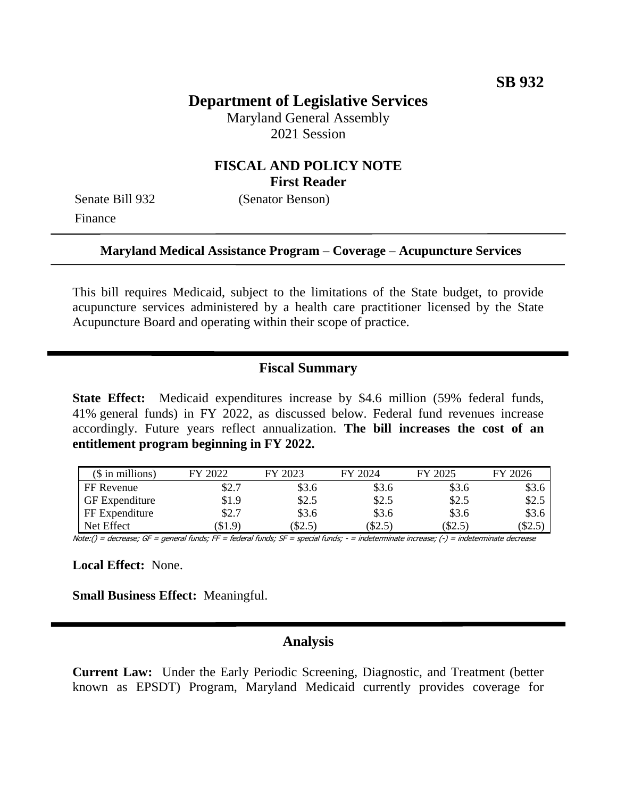## **Department of Legislative Services**

Maryland General Assembly 2021 Session

### **FISCAL AND POLICY NOTE First Reader**

Finance

Senate Bill 932 (Senator Benson)

#### **Maryland Medical Assistance Program – Coverage – Acupuncture Services**

This bill requires Medicaid, subject to the limitations of the State budget, to provide acupuncture services administered by a health care practitioner licensed by the State Acupuncture Board and operating within their scope of practice.

### **Fiscal Summary**

**State Effect:** Medicaid expenditures increase by \$4.6 million (59% federal funds, 41% general funds) in FY 2022, as discussed below. Federal fund revenues increase accordingly. Future years reflect annualization. **The bill increases the cost of an entitlement program beginning in FY 2022.**

| $$$ in millions)      | 2022  | 2023  | FY 2024 | FY 2025 | FY 2026 |
|-----------------------|-------|-------|---------|---------|---------|
| FF Revenue            | \$2.7 | \$3.6 | \$3.6   | \$3.6   | \$3.6   |
| <b>GF</b> Expenditure | \$1.9 | \$2.5 | \$2.5   | \$2.5   | \$2.5   |
| FF Expenditure        | \$2.7 | \$3.6 | \$3.6   | \$3.6   | \$3.6   |
| Net Effect            | \$1.9 | \$2.5 | \$2.5)  | \$2.5)  | \$2.5)  |

Note:() = decrease; GF = general funds; FF = federal funds; SF = special funds; - = indeterminate increase; (-) = indeterminate decrease

**Local Effect:** None.

**Small Business Effect:** Meaningful.

#### **Analysis**

**Current Law:** Under the Early Periodic Screening, Diagnostic, and Treatment (better known as EPSDT) Program, Maryland Medicaid currently provides coverage for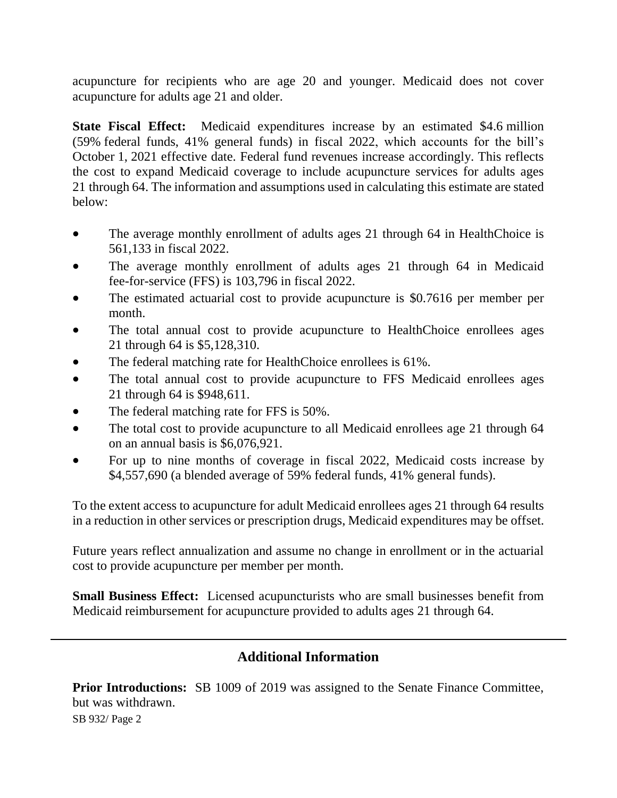acupuncture for recipients who are age 20 and younger. Medicaid does not cover acupuncture for adults age 21 and older.

**State Fiscal Effect:** Medicaid expenditures increase by an estimated \$4.6 million (59% federal funds, 41% general funds) in fiscal 2022, which accounts for the bill's October 1, 2021 effective date. Federal fund revenues increase accordingly. This reflects the cost to expand Medicaid coverage to include acupuncture services for adults ages 21 through 64. The information and assumptions used in calculating this estimate are stated below:

- The average monthly enrollment of adults ages 21 through 64 in HealthChoice is 561,133 in fiscal 2022.
- The average monthly enrollment of adults ages 21 through 64 in Medicaid fee-for-service (FFS) is 103,796 in fiscal 2022.
- The estimated actuarial cost to provide acupuncture is \$0.7616 per member per month.
- The total annual cost to provide acupuncture to HealthChoice enrollees ages 21 through 64 is \$5,128,310.
- The federal matching rate for HealthChoice enrollees is 61%.
- The total annual cost to provide acupuncture to FFS Medicaid enrollees ages 21 through 64 is \$948,611.
- The federal matching rate for FFS is 50%.
- The total cost to provide acupuncture to all Medicaid enrollees age 21 through 64 on an annual basis is \$6,076,921.
- For up to nine months of coverage in fiscal 2022, Medicaid costs increase by \$4,557,690 (a blended average of 59% federal funds, 41% general funds).

To the extent access to acupuncture for adult Medicaid enrollees ages 21 through 64 results in a reduction in other services or prescription drugs, Medicaid expenditures may be offset.

Future years reflect annualization and assume no change in enrollment or in the actuarial cost to provide acupuncture per member per month.

**Small Business Effect:** Licensed acupuncturists who are small businesses benefit from Medicaid reimbursement for acupuncture provided to adults ages 21 through 64.

# **Additional Information**

**Prior Introductions:** SB 1009 of 2019 was assigned to the Senate Finance Committee, but was withdrawn.

SB 932/ Page 2